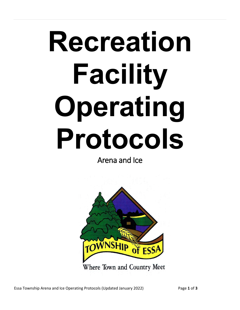# **Recreation Facility Operating Protocols**

Arena and Ice

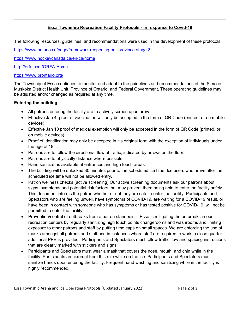# **Essa Township Recreation Facility Protocols - In response to Covid-19**

The following resources, guidelines, and recommendations were used in the development of these protocols:

<https://www.ontario.ca/page/framework-reopening-our-province-stage-3>

<https://www.hockeycanada.ca/en-ca/home>

<http://orfa.com/ORFA-Home>

### <https://www.prontario.org/>

The Township of Essa continues to monitor and adapt to the guidelines and recommendations of the Simcoe Muskoka District Health Unit, Province of Ontario, and Federal Government. These operating guidelines may be adjusted and/or changed as required at any time.

### **Entering the building**

- All patrons entering the facility are to actively screen upon arrival.
- Effective Jan 4, proof of vaccination will only be accepted in the form of QR Code (printed, or on mobile devices)
- Effective Jan 10 proof of medical exemption will only be accepted in the form of QR Code (printed, or on mobile devices)
- Proof of identification may only be accepted in it's original form with the exception of individuals under the age of 18.
- Patrons are to follow the directional flow of traffic, indicated by arrows on the floor.
- Patrons are to physically distance where possible.
- Hand sanitizer is available at entrances and high touch areas.
- The building will be unlocked 30 minutes prior to the scheduled ice time. Ice users who arrive after the scheduled ice time will not be allowed entry.
- Patron wellness checks (active screening) Our active screening documents ask our patrons about signs, symptoms and potential risk factors that may prevent them being able to enter the facility safely. This document informs the patron whether or not they are safe to enter the facility. Participants and Spectators who are feeling unwell, have symptoms of COVID-19, are waiting for a COVID-19 result, or have been in contact with someone who has symptoms or has tested positive for COVID-19, will not be permitted to enter the facility.
- Prevention/control of outbreaks from a patron standpoint Essa is mitigating the outbreaks in our recreation centers by regularly sanitizing high touch points changerooms and washrooms and limiting exposure to other patrons and staff by putting time caps on small spaces. We are enforcing the use of masks amongst all patrons and staff and in instances where staff are required to work in close quarter additional PPE is provided. Participants and Spectators must follow traffic flow and spacing instructions that are clearly marked with stickers and signs.
- Participants and Spectators must wear a mask that covers the nose, mouth, and chin while in the facility. Participants are exempt from this rule while on the ice. Participants and Spectators must sanitize hands upon entering the facility. Frequent hand washing and sanitizing while in the facility is highly recommended.